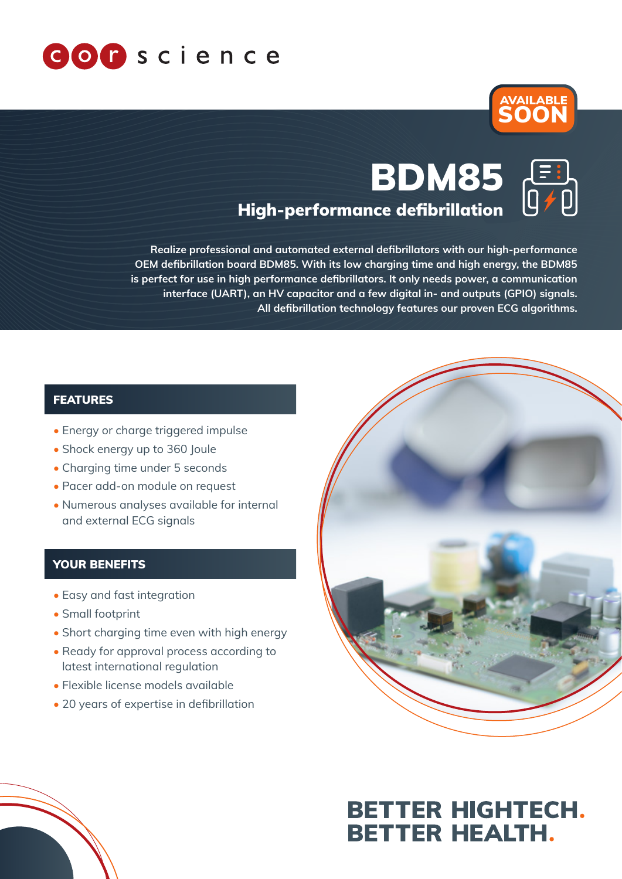



# High-performance defibrillation BDM85

Realize professional and automated external defibrillators with our high-performance OEM defibrillation board BDM85. With its low charging time and high energy, the BDM85 is perfect for use in high performance defibrillators. It only needs power, a communication interface (UART), an HV capacitor and a few digital in- and outputs (GPIO) signals. All defibrillation technology features our proven ECG algorithms.

#### FEATURES

- Energy or charge triggered impulse
- Shock energy up to 360 Joule
- Charging time under 5 seconds
- Pacer add-on module on request
- Numerous analyses available for internal and external ECG signals

### YOUR BENEFITS

- Easy and fast integration
- Small footprint
- Short charging time even with high energy
- Ready for approval process according to latest international regulation
- Flexible license models available
- 20 years of expertise in defibrillation



## **BETTER HIGHTECH. BETTER HEALTH.**